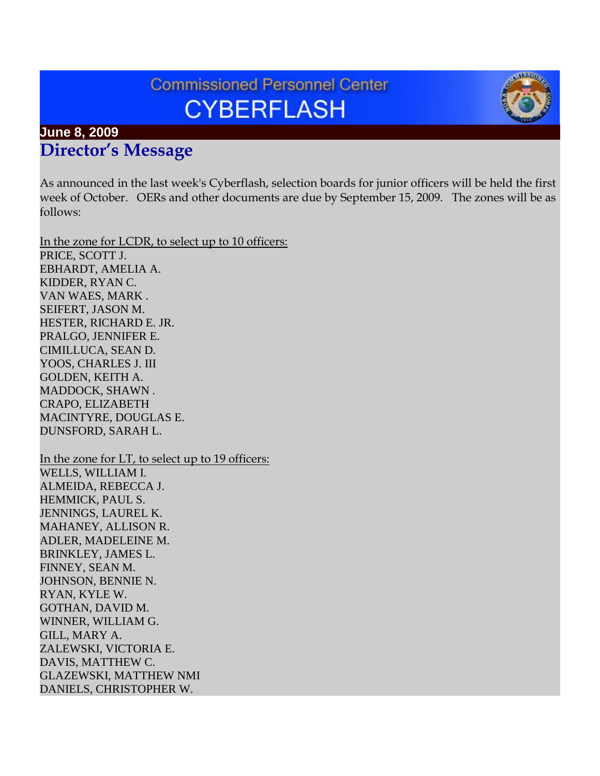# **Commissioned Personnel Center CYBERFLASH**



As announced in the last week's Cyberflash, selection boards for junior officers will be held the first week of October. OERs and other documents are due by September 15, 2009. The zones will be as follows:

In the zone for LCDR, to select up to 10 officers: PRICE, SCOTT J. EBHARDT, AMELIA A. KIDDER, RYAN C. VAN WAES, MARK . SEIFERT, JASON M. HESTER, RICHARD E. JR. PRALGO, JENNIFER E. CIMILLUCA, SEAN D. YOOS, CHARLES J. III GOLDEN, KEITH A. MADDOCK, SHAWN . CRAPO, ELIZABETH MACINTYRE, DOUGLAS E. DUNSFORD, SARAH L. In the zone for LT, to select up to 19 officers: WELLS, WILLIAM I. ALMEIDA, REBECCA J. HEMMICK, PAUL S. JENNINGS, LAUREL K. MAHANEY, ALLISON R. ADLER, MADELEINE M. BRINKLEY, JAMES L. FINNEY, SEAN M. JOHNSON, BENNIE N. RYAN, KYLE W. GOTHAN, DAVID M. WINNER, WILLIAM G. GILL, MARY A. ZALEWSKI, VICTORIA E. DAVIS, MATTHEW C. GLAZEWSKI, MATTHEW NMI DANIELS, CHRISTOPHER W.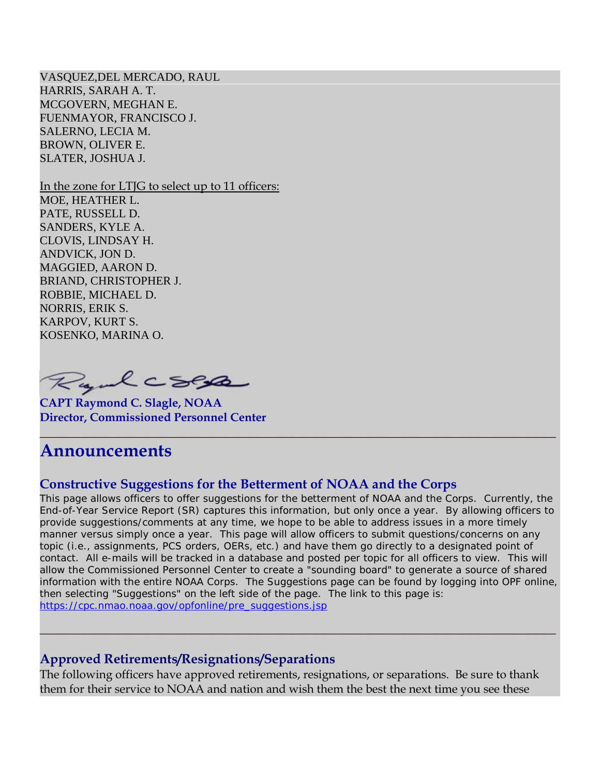VASQUEZ,DEL MERCADO, RAUL HARRIS, SARAH A. T. MCGOVERN, MEGHAN E. FUENMAYOR, FRANCISCO J. SALERNO, LECIA M. BROWN, OLIVER E. SLATER, JOSHUA J.

In the zone for LTJG to select up to 11 officers: MOE, HEATHER L. PATE, RUSSELL D. SANDERS, KYLE A. CLOVIS, LINDSAY H. ANDVICK, JON D. MAGGIED, AARON D. BRIAND, CHRISTOPHER J. ROBBIE, MICHAEL D. NORRIS, ERIK S. KARPOV, KURT S. KOSENKO, MARINA O.

Ryalcses

**CAPT Raymond C. Slagle, NOAA Director, Commissioned Personnel Center**

# **Announcements**

### **Constructive Suggestions for the Betterment of NOAA and the Corps**

This page allows officers to offer suggestions for the betterment of NOAA and the Corps. Currently, the End-of-Year Service Report (SR) captures this information, but only once a year. By allowing officers to provide suggestions/comments at any time, we hope to be able to address issues in a more timely manner versus simply once a year. This page will allow officers to submit questions/concerns on any topic (i.e., assignments, PCS orders, OERs, etc.) and have them go directly to a designated point of contact. All e-mails will be tracked in a database and posted per topic for all officers to view. This will allow the Commissioned Personnel Center to create a "sounding board" to generate a source of shared information with the entire NOAA Corps. The Suggestions page can be found by logging into OPF online, then selecting "Suggestions" on the left side of the page. The link to this page is: [https://cpc.nmao.noaa.gov/opfonline/pre\\_suggestions.jsp](https://cpc.nmao.noaa.gov/opfonline/pre_suggestions.jsp)

**\_\_\_\_\_\_\_\_\_\_\_\_\_\_\_\_\_\_\_\_\_\_\_\_\_\_\_\_\_\_\_\_\_\_\_\_\_\_\_\_\_\_\_\_\_\_\_\_\_\_\_\_\_\_\_\_\_\_\_\_\_\_\_\_\_\_\_\_\_\_\_\_\_\_\_\_\_\_**

#### **Approved Retirements/Resignations/Separations**

The following officers have approved retirements, resignations, or separations. Be sure to thank them for their service to NOAA and nation and wish them the best the next time you see these

**\_\_\_\_\_\_\_\_\_\_\_\_\_\_\_\_\_\_\_\_\_\_\_\_\_\_\_\_\_\_\_\_\_\_\_\_\_\_\_\_\_\_\_\_\_\_\_\_\_\_\_\_\_\_\_\_\_\_\_\_\_\_\_\_\_\_\_\_\_\_\_\_\_\_\_\_\_\_**